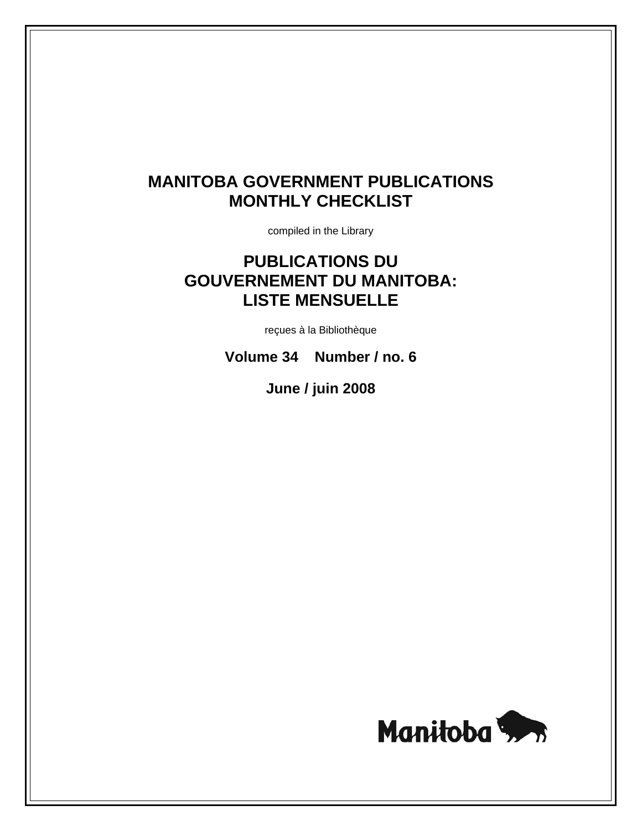# **MANITOBA GOVERNMENT PUBLICATIONS MONTHLY CHECKLIST**

compiled in the Library

# **PUBLICATIONS DU GOUVERNEMENT DU MANITOBA: LISTE MENSUELLE**

reçues à la Bibliothèque

**Volume 34 Number / no. 6** 

**June / juin 2008**

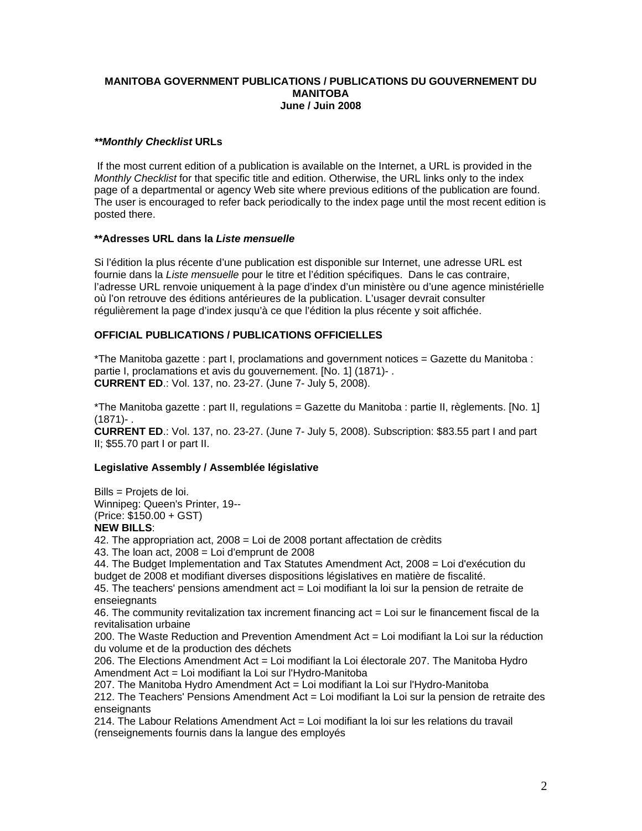## **MANITOBA GOVERNMENT PUBLICATIONS / PUBLICATIONS DU GOUVERNEMENT DU MANITOBA June / Juin 2008**

## *\*\*Monthly Checklist* **URLs**

 If the most current edition of a publication is available on the Internet, a URL is provided in the *Monthly Checklist* for that specific title and edition. Otherwise, the URL links only to the index page of a departmental or agency Web site where previous editions of the publication are found. The user is encouraged to refer back periodically to the index page until the most recent edition is posted there.

## **\*\*Adresses URL dans la** *Liste mensuelle*

Si l'édition la plus récente d'une publication est disponible sur Internet, une adresse URL est fournie dans la *Liste mensuelle* pour le titre et l'édition spécifiques. Dans le cas contraire, l'adresse URL renvoie uniquement à la page d'index d'un ministère ou d'une agence ministérielle où l'on retrouve des éditions antérieures de la publication. L'usager devrait consulter régulièrement la page d'index jusqu'à ce que l'édition la plus récente y soit affichée.

## **OFFICIAL PUBLICATIONS / PUBLICATIONS OFFICIELLES**

\*The Manitoba gazette : part I, proclamations and government notices = Gazette du Manitoba : partie I, proclamations et avis du gouvernement. [No. 1] (1871)- . **CURRENT ED**.: Vol. 137, no. 23-27. (June 7- July 5, 2008).

\*The Manitoba gazette : part II, regulations = Gazette du Manitoba : partie II, règlements. [No. 1] (1871)- .

**CURRENT ED**.: Vol. 137, no. 23-27. (June 7- July 5, 2008). Subscription: \$83.55 part I and part II; \$55.70 part I or part II.

### **Legislative Assembly / Assemblée législative**

Bills = Projets de loi. Winnipeg: Queen's Printer, 19-- (Price: \$150.00 + GST)

# **NEW BILLS**:

42. The appropriation act, 2008 = Loi de 2008 portant affectation de crèdits

43. The loan act, 2008 = Loi d'emprunt de 2008

44. The Budget Implementation and Tax Statutes Amendment Act, 2008 = Loi d'exécution du budget de 2008 et modifiant diverses dispositions législatives en matière de fiscalité.

45. The teachers' pensions amendment act = Loi modifiant la loi sur la pension de retraite de enseiegnants

46. The community revitalization tax increment financing act = Loi sur le financement fiscal de la revitalisation urbaine

200. The Waste Reduction and Prevention Amendment Act = Loi modifiant la Loi sur la réduction du volume et de la production des déchets

206. The Elections Amendment Act = Loi modifiant la Loi électorale 207. The Manitoba Hydro Amendment Act = Loi modifiant la Loi sur l'Hydro-Manitoba

207. The Manitoba Hydro Amendment Act = Loi modifiant la Loi sur l'Hydro-Manitoba 212. The Teachers' Pensions Amendment Act = Loi modifiant la Loi sur la pension de retraite des enseignants

214. The Labour Relations Amendment Act = Loi modifiant la loi sur les relations du travail (renseignements fournis dans la langue des employés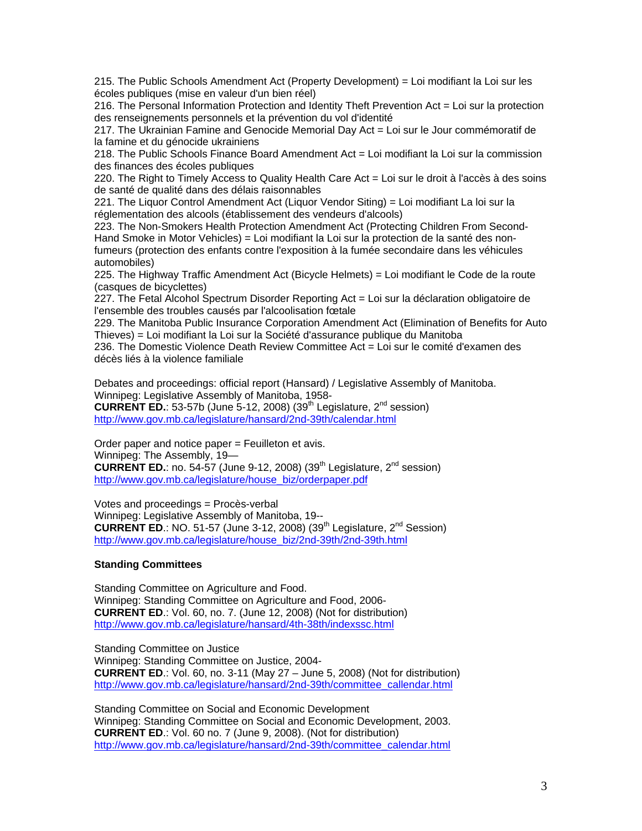215. The Public Schools Amendment Act (Property Development) = Loi modifiant la Loi sur les écoles publiques (mise en valeur d'un bien réel)

216. The Personal Information Protection and Identity Theft Prevention Act = Loi sur la protection des renseignements personnels et la prévention du vol d'identité

217. The Ukrainian Famine and Genocide Memorial Day Act = Loi sur le Jour commémoratif de la famine et du génocide ukrainiens

218. The Public Schools Finance Board Amendment Act = Loi modifiant la Loi sur la commission des finances des écoles publiques

220. The Right to Timely Access to Quality Health Care Act = Loi sur le droit à l'accès à des soins de santé de qualité dans des délais raisonnables

221. The Liquor Control Amendment Act (Liquor Vendor Siting) = Loi modifiant La loi sur la réglementation des alcools (établissement des vendeurs d'alcools)

223. The Non-Smokers Health Protection Amendment Act (Protecting Children From Second-Hand Smoke in Motor Vehicles) = Loi modifiant la Loi sur la protection de la santé des nonfumeurs (protection des enfants contre l'exposition à la fumée secondaire dans les véhicules automobiles)

225. The Highway Traffic Amendment Act (Bicycle Helmets) = Loi modifiant le Code de la route (casques de bicyclettes)

227. The Fetal Alcohol Spectrum Disorder Reporting Act = Loi sur la déclaration obligatoire de l'ensemble des troubles causés par l'alcoolisation fœtale

229. The Manitoba Public Insurance Corporation Amendment Act (Elimination of Benefits for Auto Thieves) = Loi modifiant la Loi sur la Société d'assurance publique du Manitoba

236. The Domestic Violence Death Review Committee Act = Loi sur le comité d'examen des décès liés à la violence familiale

Debates and proceedings: official report (Hansard) / Legislative Assembly of Manitoba. Winnipeg: Legislative Assembly of Manitoba, 1958- **CURRENT ED.:** 53-57b (June 5-12, 2008) (39<sup>th</sup> Legislature,  $2^{nd}$  session) http://www.gov.mb.ca/legislature/hansard/2nd-39th/calendar.html

Order paper and notice paper = Feuilleton et avis. Winnipeg: The Assembly, 19— **CURRENT ED.**: no. 54-57 (June 9-12, 2008) (39<sup>th</sup> Legislature,  $2^{nd}$  session) http://www.gov.mb.ca/legislature/house\_biz/orderpaper.pdf

Votes and proceedings = Procès-verbal Winnipeg: Legislative Assembly of Manitoba, 19-- **CURRENT ED.: NO. 51-57 (June 3-12, 2008) (39<sup>th</sup> Legislature, 2<sup>nd</sup> Session)** http://www.gov.mb.ca/legislature/house\_biz/2nd-39th/2nd-39th.html

### **Standing Committees**

Standing Committee on Agriculture and Food. Winnipeg: Standing Committee on Agriculture and Food, 2006- **CURRENT ED**.: Vol. 60, no. 7. (June 12, 2008) (Not for distribution) http://www.gov.mb.ca/legislature/hansard/4th-38th/indexssc.html

Standing Committee on Justice Winnipeg: Standing Committee on Justice, 2004- **CURRENT ED**.: Vol. 60, no. 3-11 (May 27 – June 5, 2008) (Not for distribution) http://www.gov.mb.ca/legislature/hansard/2nd-39th/committee\_callendar.html

Standing Committee on Social and Economic Development Winnipeg: Standing Committee on Social and Economic Development, 2003. **CURRENT ED**.: Vol. 60 no. 7 (June 9, 2008). (Not for distribution) http://www.gov.mb.ca/legislature/hansard/2nd-39th/committee\_calendar.html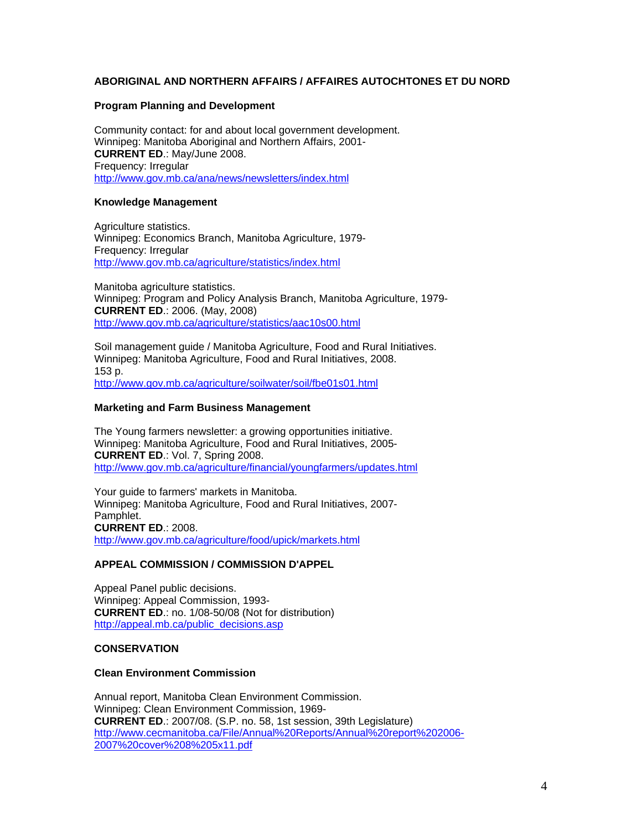## **ABORIGINAL AND NORTHERN AFFAIRS / AFFAIRES AUTOCHTONES ET DU NORD**

#### **Program Planning and Development**

Community contact: for and about local government development. Winnipeg: Manitoba Aboriginal and Northern Affairs, 2001- **CURRENT ED**.: May/June 2008. Frequency: Irregular http://www.gov.mb.ca/ana/news/newsletters/index.html

#### **Knowledge Management**

Agriculture statistics. Winnipeg: Economics Branch, Manitoba Agriculture, 1979- Frequency: Irregular http://www.gov.mb.ca/agriculture/statistics/index.html

Manitoba agriculture statistics. Winnipeg: Program and Policy Analysis Branch, Manitoba Agriculture, 1979- **CURRENT ED**.: 2006. (May, 2008) http://www.gov.mb.ca/agriculture/statistics/aac10s00.html

Soil management guide / Manitoba Agriculture, Food and Rural Initiatives. Winnipeg: Manitoba Agriculture, Food and Rural Initiatives, 2008. 153 p. http://www.gov.mb.ca/agriculture/soilwater/soil/fbe01s01.html

#### **Marketing and Farm Business Management**

The Young farmers newsletter: a growing opportunities initiative. Winnipeg: Manitoba Agriculture, Food and Rural Initiatives, 2005- **CURRENT ED**.: Vol. 7, Spring 2008. http://www.gov.mb.ca/agriculture/financial/youngfarmers/updates.html

Your guide to farmers' markets in Manitoba. Winnipeg: Manitoba Agriculture, Food and Rural Initiatives, 2007- Pamphlet. **CURRENT ED**.: 2008. http://www.gov.mb.ca/agriculture/food/upick/markets.html

#### **APPEAL COMMISSION / COMMISSION D'APPEL**

Appeal Panel public decisions. Winnipeg: Appeal Commission, 1993- **CURRENT ED**.: no. 1/08-50/08 (Not for distribution) http://appeal.mb.ca/public\_decisions.asp

### **CONSERVATION**

### **Clean Environment Commission**

Annual report, Manitoba Clean Environment Commission. Winnipeg: Clean Environment Commission, 1969- **CURRENT ED**.: 2007/08. (S.P. no. 58, 1st session, 39th Legislature) http://www.cecmanitoba.ca/File/Annual%20Reports/Annual%20report%202006- 2007%20cover%208%205x11.pdf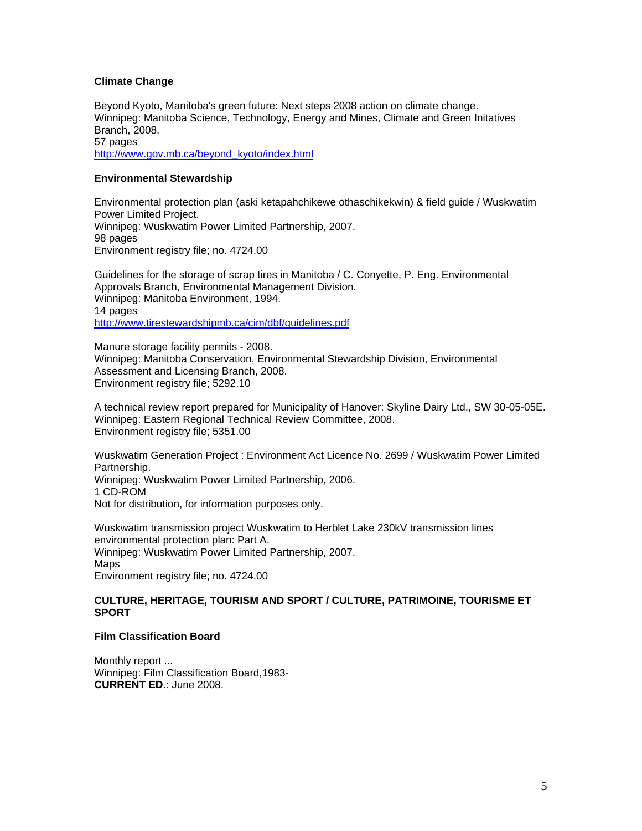## **Climate Change**

Beyond Kyoto, Manitoba's green future: Next steps 2008 action on climate change. Winnipeg: Manitoba Science, Technology, Energy and Mines, Climate and Green Initatives Branch, 2008. 57 pages http://www.gov.mb.ca/beyond\_kyoto/index.html

## **Environmental Stewardship**

Environmental protection plan (aski ketapahchikewe othaschikekwin) & field guide / Wuskwatim Power Limited Project. Winnipeg: Wuskwatim Power Limited Partnership, 2007. 98 pages Environment registry file; no. 4724.00

Guidelines for the storage of scrap tires in Manitoba / C. Conyette, P. Eng. Environmental Approvals Branch, Environmental Management Division. Winnipeg: Manitoba Environment, 1994. 14 pages http://www.tirestewardshipmb.ca/cim/dbf/guidelines.pdf

Manure storage facility permits - 2008. Winnipeg: Manitoba Conservation, Environmental Stewardship Division, Environmental Assessment and Licensing Branch, 2008. Environment registry file; 5292.10

A technical review report prepared for Municipality of Hanover: Skyline Dairy Ltd., SW 30-05-05E. Winnipeg: Eastern Regional Technical Review Committee, 2008. Environment registry file; 5351.00

Wuskwatim Generation Project : Environment Act Licence No. 2699 / Wuskwatim Power Limited Partnership. Winnipeg: Wuskwatim Power Limited Partnership, 2006. 1 CD-ROM Not for distribution, for information purposes only.

Wuskwatim transmission project Wuskwatim to Herblet Lake 230kV transmission lines environmental protection plan: Part A. Winnipeg: Wuskwatim Power Limited Partnership, 2007. Maps Environment registry file; no. 4724.00

### **CULTURE, HERITAGE, TOURISM AND SPORT / CULTURE, PATRIMOINE, TOURISME ET SPORT**

### **Film Classification Board**

Monthly report ... Winnipeg: Film Classification Board,1983- **CURRENT ED**.: June 2008.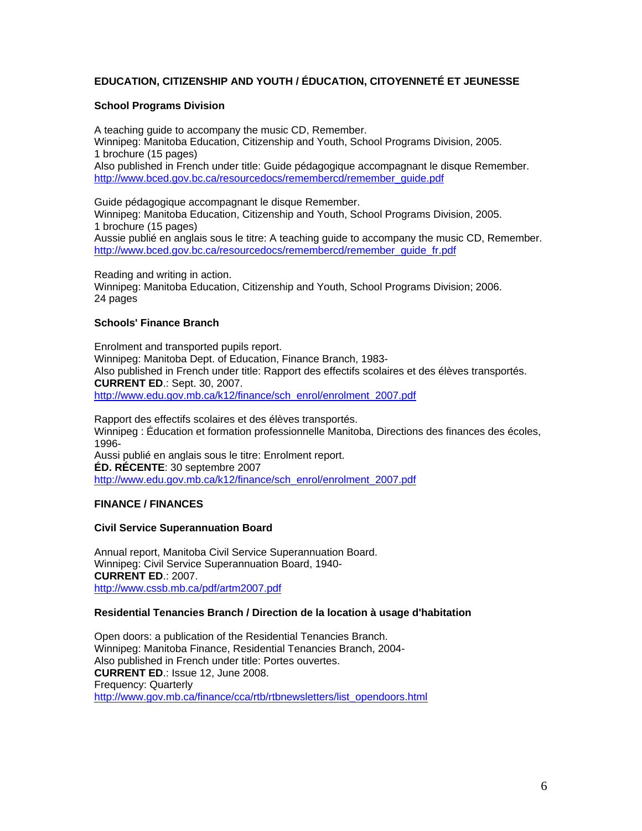## **EDUCATION, CITIZENSHIP AND YOUTH / ÉDUCATION, CITOYENNETÉ ET JEUNESSE**

## **School Programs Division**

A teaching guide to accompany the music CD, Remember. Winnipeg: Manitoba Education, Citizenship and Youth, School Programs Division, 2005. 1 brochure (15 pages) Also published in French under title: Guide pédagogique accompagnant le disque Remember. http://www.bced.gov.bc.ca/resourcedocs/remembercd/remember\_guide.pdf

Guide pédagogique accompagnant le disque Remember. Winnipeg: Manitoba Education, Citizenship and Youth, School Programs Division, 2005. 1 brochure (15 pages) Aussie publié en anglais sous le titre: A teaching guide to accompany the music CD, Remember. http://www.bced.gov.bc.ca/resourcedocs/remembercd/remember\_guide\_fr.pdf

Reading and writing in action. Winnipeg: Manitoba Education, Citizenship and Youth, School Programs Division; 2006. 24 pages

## **Schools' Finance Branch**

Enrolment and transported pupils report. Winnipeg: Manitoba Dept. of Education, Finance Branch, 1983- Also published in French under title: Rapport des effectifs scolaires et des élèves transportés. **CURRENT ED**.: Sept. 30, 2007. http://www.edu.gov.mb.ca/k12/finance/sch\_enrol/enrolment\_2007.pdf

Rapport des effectifs scolaires et des élèves transportés. Winnipeg : Éducation et formation professionnelle Manitoba, Directions des finances des écoles, 1996- Aussi publié en anglais sous le titre: Enrolment report. **ÉD. RÉCENTE**: 30 septembre 2007 http://www.edu.gov.mb.ca/k12/finance/sch\_enrol/enrolment\_2007.pdf

## **FINANCE / FINANCES**

## **Civil Service Superannuation Board**

Annual report, Manitoba Civil Service Superannuation Board. Winnipeg: Civil Service Superannuation Board, 1940- **CURRENT ED**.: 2007. http://www.cssb.mb.ca/pdf/artm2007.pdf

### **Residential Tenancies Branch / Direction de la location à usage d'habitation**

Open doors: a publication of the Residential Tenancies Branch. Winnipeg: Manitoba Finance, Residential Tenancies Branch, 2004- Also published in French under title: Portes ouvertes. **CURRENT ED**.: Issue 12, June 2008. Frequency: Quarterly http://www.gov.mb.ca/finance/cca/rtb/rtbnewsletters/list\_opendoors.html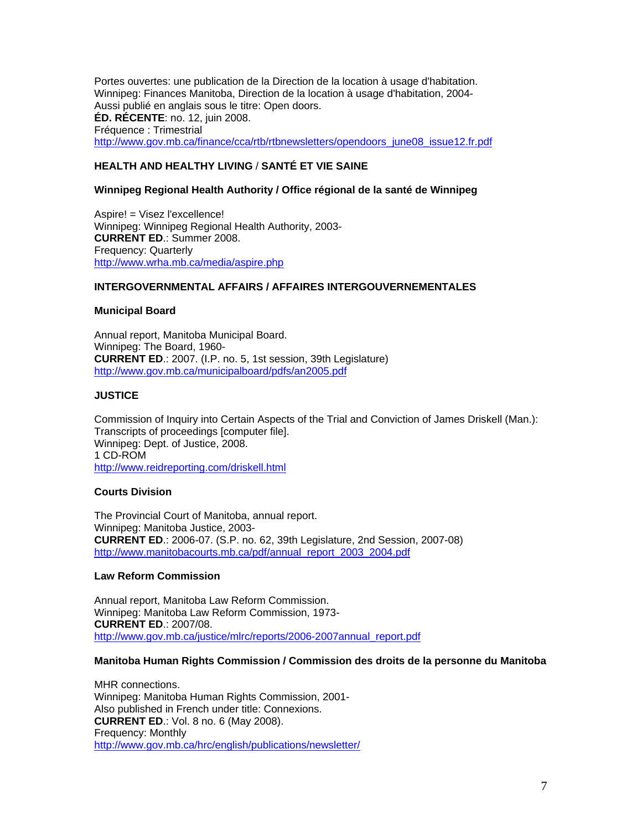Portes ouvertes: une publication de la Direction de la location à usage d'habitation. Winnipeg: Finances Manitoba, Direction de la location à usage d'habitation, 2004- Aussi publié en anglais sous le titre: Open doors. **ÉD. RÉCENTE**: no. 12, juin 2008. Fréquence : Trimestrial http://www.gov.mb.ca/finance/cca/rtb/rtbnewsletters/opendoors\_june08\_issue12.fr.pdf

# **HEALTH AND HEALTHY LIVING** / **SANTÉ ET VIE SAINE**

## **Winnipeg Regional Health Authority / Office régional de la santé de Winnipeg**

Aspire! = Visez l'excellence! Winnipeg: Winnipeg Regional Health Authority, 2003- **CURRENT ED**.: Summer 2008. Frequency: Quarterly http://www.wrha.mb.ca/media/aspire.php

### **INTERGOVERNMENTAL AFFAIRS / AFFAIRES INTERGOUVERNEMENTALES**

### **Municipal Board**

Annual report, Manitoba Municipal Board. Winnipeg: The Board, 1960- **CURRENT ED**.: 2007. (I.P. no. 5, 1st session, 39th Legislature) http://www.gov.mb.ca/municipalboard/pdfs/an2005.pdf

## **JUSTICE**

Commission of Inquiry into Certain Aspects of the Trial and Conviction of James Driskell (Man.): Transcripts of proceedings [computer file]. Winnipeg: Dept. of Justice, 2008. 1 CD-ROM http://www.reidreporting.com/driskell.html

## **Courts Division**

The Provincial Court of Manitoba, annual report. Winnipeg: Manitoba Justice, 2003- **CURRENT ED**.: 2006-07. (S.P. no. 62, 39th Legislature, 2nd Session, 2007-08) http://www.manitobacourts.mb.ca/pdf/annual\_report\_2003\_2004.pdf

### **Law Reform Commission**

Annual report, Manitoba Law Reform Commission. Winnipeg: Manitoba Law Reform Commission, 1973- **CURRENT ED**.: 2007/08. http://www.gov.mb.ca/justice/mlrc/reports/2006-2007annual\_report.pdf

### **Manitoba Human Rights Commission / Commission des droits de la personne du Manitoba**

MHR connections. Winnipeg: Manitoba Human Rights Commission, 2001- Also published in French under title: Connexions. **CURRENT ED**.: Vol. 8 no. 6 (May 2008). Frequency: Monthly http://www.gov.mb.ca/hrc/english/publications/newsletter/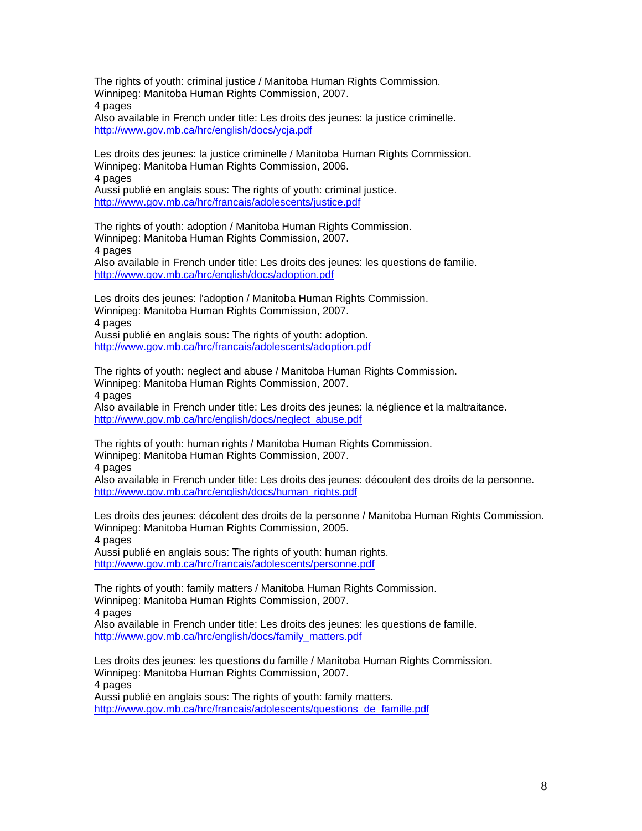The rights of youth: criminal justice / Manitoba Human Rights Commission. Winnipeg: Manitoba Human Rights Commission, 2007. 4 pages Also available in French under title: Les droits des jeunes: la justice criminelle.

http://www.gov.mb.ca/hrc/english/docs/ycja.pdf

Les droits des jeunes: la justice criminelle / Manitoba Human Rights Commission. Winnipeg: Manitoba Human Rights Commission, 2006. 4 pages Aussi publié en anglais sous: The rights of youth: criminal justice.

http://www.gov.mb.ca/hrc/francais/adolescents/justice.pdf

The rights of youth: adoption / Manitoba Human Rights Commission. Winnipeg: Manitoba Human Rights Commission, 2007. 4 pages Also available in French under title: Les droits des jeunes: les questions de familie. http://www.gov.mb.ca/hrc/english/docs/adoption.pdf

Les droits des jeunes: l'adoption / Manitoba Human Rights Commission. Winnipeg: Manitoba Human Rights Commission, 2007. 4 pages Aussi publié en anglais sous: The rights of youth: adoption.

http://www.gov.mb.ca/hrc/francais/adolescents/adoption.pdf

The rights of youth: neglect and abuse / Manitoba Human Rights Commission. Winnipeg: Manitoba Human Rights Commission, 2007. 4 pages Also available in French under title: Les droits des jeunes: la néglience et la maltraitance.

http://www.gov.mb.ca/hrc/english/docs/neglect\_abuse.pdf

The rights of youth: human rights / Manitoba Human Rights Commission. Winnipeg: Manitoba Human Rights Commission, 2007. 4 pages

Also available in French under title: Les droits des jeunes: découlent des droits de la personne. http://www.gov.mb.ca/hrc/english/docs/human\_rights.pdf

Les droits des jeunes: décolent des droits de la personne / Manitoba Human Rights Commission. Winnipeg: Manitoba Human Rights Commission, 2005. 4 pages

Aussi publié en anglais sous: The rights of youth: human rights. http://www.gov.mb.ca/hrc/francais/adolescents/personne.pdf

The rights of youth: family matters / Manitoba Human Rights Commission. Winnipeg: Manitoba Human Rights Commission, 2007.

4 pages

Also available in French under title: Les droits des jeunes: les questions de famille. http://www.gov.mb.ca/hrc/english/docs/family\_matters.pdf

Les droits des jeunes: les questions du famille / Manitoba Human Rights Commission. Winnipeg: Manitoba Human Rights Commission, 2007. 4 pages Aussi publié en anglais sous: The rights of youth: family matters.

http://www.gov.mb.ca/hrc/francais/adolescents/questions\_de\_famille.pdf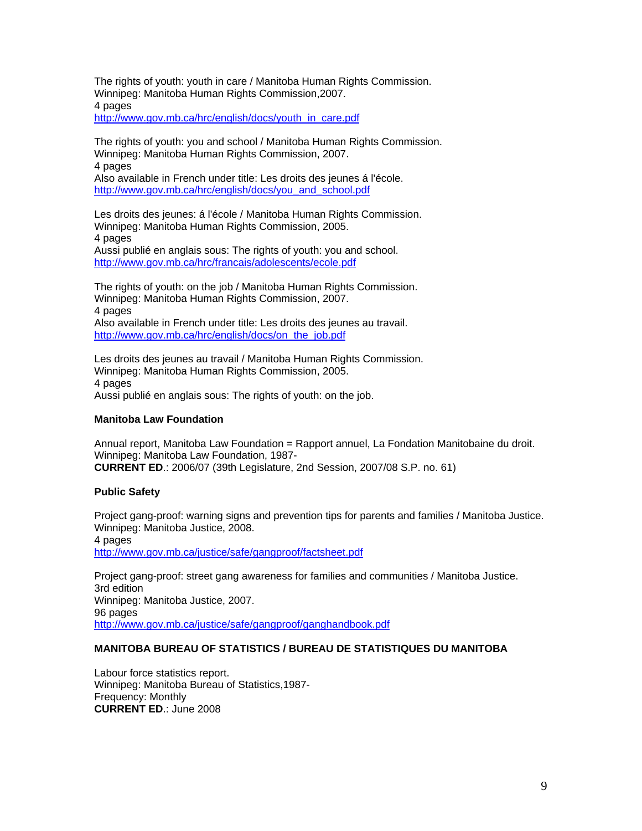The rights of youth: youth in care / Manitoba Human Rights Commission. Winnipeg: Manitoba Human Rights Commission,2007. 4 pages

http://www.gov.mb.ca/hrc/english/docs/youth\_in\_care.pdf

The rights of youth: you and school / Manitoba Human Rights Commission. Winnipeg: Manitoba Human Rights Commission, 2007. 4 pages Also available in French under title: Les droits des jeunes á l'école. http://www.gov.mb.ca/hrc/english/docs/you\_and\_school.pdf

Les droits des jeunes: á l'école / Manitoba Human Rights Commission. Winnipeg: Manitoba Human Rights Commission, 2005. 4 pages Aussi publié en anglais sous: The rights of youth: you and school. http://www.gov.mb.ca/hrc/francais/adolescents/ecole.pdf

The rights of youth: on the job / Manitoba Human Rights Commission. Winnipeg: Manitoba Human Rights Commission, 2007. 4 pages Also available in French under title: Les droits des jeunes au travail. http://www.gov.mb.ca/hrc/english/docs/on\_the\_job.pdf

Les droits des jeunes au travail / Manitoba Human Rights Commission. Winnipeg: Manitoba Human Rights Commission, 2005. 4 pages Aussi publié en anglais sous: The rights of youth: on the job.

### **Manitoba Law Foundation**

Annual report, Manitoba Law Foundation = Rapport annuel, La Fondation Manitobaine du droit. Winnipeg: Manitoba Law Foundation, 1987- **CURRENT ED**.: 2006/07 (39th Legislature, 2nd Session, 2007/08 S.P. no. 61)

## **Public Safety**

Project gang-proof: warning signs and prevention tips for parents and families / Manitoba Justice. Winnipeg: Manitoba Justice, 2008. 4 pages http://www.gov.mb.ca/justice/safe/gangproof/factsheet.pdf

Project gang-proof: street gang awareness for families and communities / Manitoba Justice. 3rd edition Winnipeg: Manitoba Justice, 2007. 96 pages http://www.gov.mb.ca/justice/safe/gangproof/ganghandbook.pdf

## **MANITOBA BUREAU OF STATISTICS / BUREAU DE STATISTIQUES DU MANITOBA**

Labour force statistics report. Winnipeg: Manitoba Bureau of Statistics,1987- Frequency: Monthly **CURRENT ED**.: June 2008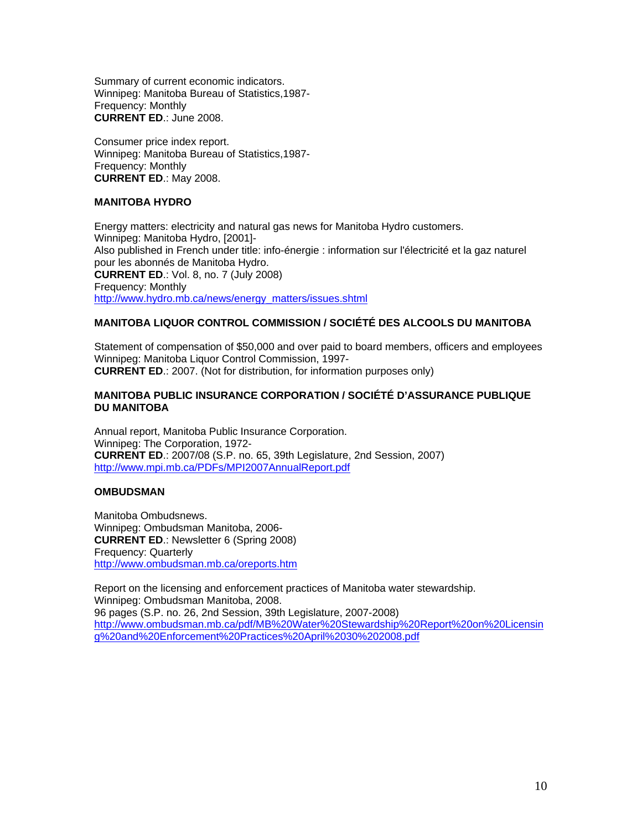Summary of current economic indicators. Winnipeg: Manitoba Bureau of Statistics,1987- Frequency: Monthly **CURRENT ED**.: June 2008.

Consumer price index report. Winnipeg: Manitoba Bureau of Statistics,1987- Frequency: Monthly **CURRENT ED**.: May 2008.

## **MANITOBA HYDRO**

Energy matters: electricity and natural gas news for Manitoba Hydro customers. Winnipeg: Manitoba Hydro, [2001]- Also published in French under title: info-énergie : information sur l'électricité et la gaz naturel pour les abonnés de Manitoba Hydro. **CURRENT ED**.: Vol. 8, no. 7 (July 2008) Frequency: Monthly http://www.hydro.mb.ca/news/energy\_matters/issues.shtml

# **MANITOBA LIQUOR CONTROL COMMISSION / SOCIÉTÉ DES ALCOOLS DU MANITOBA**

Statement of compensation of \$50,000 and over paid to board members, officers and employees Winnipeg: Manitoba Liquor Control Commission, 1997- **CURRENT ED**.: 2007. (Not for distribution, for information purposes only)

### **MANITOBA PUBLIC INSURANCE CORPORATION / SOCIÉTÉ D'ASSURANCE PUBLIQUE DU MANITOBA**

Annual report, Manitoba Public Insurance Corporation. Winnipeg: The Corporation, 1972- **CURRENT ED**.: 2007/08 (S.P. no. 65, 39th Legislature, 2nd Session, 2007) http://www.mpi.mb.ca/PDFs/MPI2007AnnualReport.pdf

### **OMBUDSMAN**

Manitoba Ombudsnews. Winnipeg: Ombudsman Manitoba, 2006- **CURRENT ED**.: Newsletter 6 (Spring 2008) Frequency: Quarterly http://www.ombudsman.mb.ca/oreports.htm

Report on the licensing and enforcement practices of Manitoba water stewardship. Winnipeg: Ombudsman Manitoba, 2008. 96 pages (S.P. no. 26, 2nd Session, 39th Legislature, 2007-2008) http://www.ombudsman.mb.ca/pdf/MB%20Water%20Stewardship%20Report%20on%20Licensin g%20and%20Enforcement%20Practices%20April%2030%202008.pdf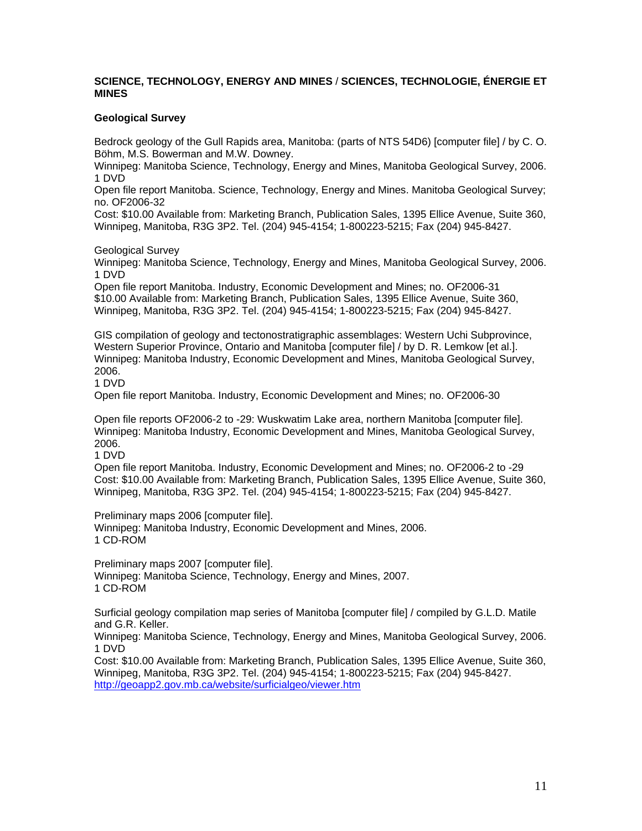## **SCIENCE, TECHNOLOGY, ENERGY AND MINES** / **SCIENCES, TECHNOLOGIE, ÉNERGIE ET MINES**

## **Geological Survey**

Bedrock geology of the Gull Rapids area, Manitoba: (parts of NTS 54D6) [computer file] / by C. O. Böhm, M.S. Bowerman and M.W. Downey.

Winnipeg: Manitoba Science, Technology, Energy and Mines, Manitoba Geological Survey, 2006. 1 DVD

Open file report Manitoba. Science, Technology, Energy and Mines. Manitoba Geological Survey; no. OF2006-32

Cost: \$10.00 Available from: Marketing Branch, Publication Sales, 1395 Ellice Avenue, Suite 360, Winnipeg, Manitoba, R3G 3P2. Tel. (204) 945-4154; 1-800223-5215; Fax (204) 945-8427.

Geological Survey

Winnipeg: Manitoba Science, Technology, Energy and Mines, Manitoba Geological Survey, 2006. 1 DVD

Open file report Manitoba. Industry, Economic Development and Mines; no. OF2006-31 \$10.00 Available from: Marketing Branch, Publication Sales, 1395 Ellice Avenue, Suite 360, Winnipeg, Manitoba, R3G 3P2. Tel. (204) 945-4154; 1-800223-5215; Fax (204) 945-8427.

GIS compilation of geology and tectonostratigraphic assemblages: Western Uchi Subprovince, Western Superior Province, Ontario and Manitoba [computer file] / by D. R. Lemkow [et al.]. Winnipeg: Manitoba Industry, Economic Development and Mines, Manitoba Geological Survey, 2006.

1 DVD

Open file report Manitoba. Industry, Economic Development and Mines; no. OF2006-30

Open file reports OF2006-2 to -29: Wuskwatim Lake area, northern Manitoba [computer file]. Winnipeg: Manitoba Industry, Economic Development and Mines, Manitoba Geological Survey, 2006.

1 DVD

Open file report Manitoba. Industry, Economic Development and Mines; no. OF2006-2 to -29 Cost: \$10.00 Available from: Marketing Branch, Publication Sales, 1395 Ellice Avenue, Suite 360, Winnipeg, Manitoba, R3G 3P2. Tel. (204) 945-4154; 1-800223-5215; Fax (204) 945-8427.

Preliminary maps 2006 [computer file].

Winnipeg: Manitoba Industry, Economic Development and Mines, 2006. 1 CD-ROM

Preliminary maps 2007 [computer file]. Winnipeg: Manitoba Science, Technology, Energy and Mines, 2007. 1 CD-ROM

Surficial geology compilation map series of Manitoba [computer file] / compiled by G.L.D. Matile and G.R. Keller.

Winnipeg: Manitoba Science, Technology, Energy and Mines, Manitoba Geological Survey, 2006. 1 DVD

Cost: \$10.00 Available from: Marketing Branch, Publication Sales, 1395 Ellice Avenue, Suite 360, Winnipeg, Manitoba, R3G 3P2. Tel. (204) 945-4154; 1-800223-5215; Fax (204) 945-8427. http://geoapp2.gov.mb.ca/website/surficialgeo/viewer.htm